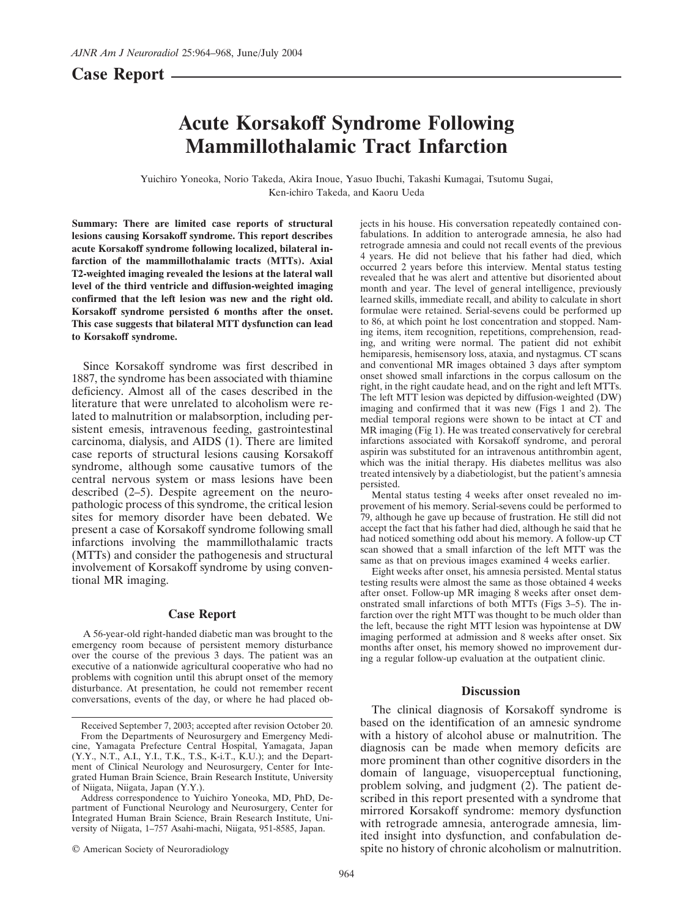# **Case Report**

# **Acute Korsakoff Syndrome Following Mammillothalamic Tract Infarction**

Yuichiro Yoneoka, Norio Takeda, Akira Inoue, Yasuo Ibuchi, Takashi Kumagai, Tsutomu Sugai, Ken-ichiro Takeda, and Kaoru Ueda

**Summary: There are limited case reports of structural lesions causing Korsakoff syndrome. This report describes acute Korsakoff syndrome following localized, bilateral infarction of the mammillothalamic tracts (MTTs). Axial T2-weighted imaging revealed the lesions at the lateral wall level of the third ventricle and diffusion-weighted imaging confirmed that the left lesion was new and the right old. Korsakoff syndrome persisted 6 months after the onset. This case suggests that bilateral MTT dysfunction can lead to Korsakoff syndrome.**

Since Korsakoff syndrome was first described in 1887, the syndrome has been associated with thiamine deficiency. Almost all of the cases described in the literature that were unrelated to alcoholism were related to malnutrition or malabsorption, including persistent emesis, intravenous feeding, gastrointestinal carcinoma, dialysis, and AIDS (1). There are limited case reports of structural lesions causing Korsakoff syndrome, although some causative tumors of the central nervous system or mass lesions have been described (2–5). Despite agreement on the neuropathologic process of this syndrome, the critical lesion sites for memory disorder have been debated. We present a case of Korsakoff syndrome following small infarctions involving the mammillothalamic tracts (MTTs) and consider the pathogenesis and structural involvement of Korsakoff syndrome by using conventional MR imaging.

## **Case Report**

A 56-year-old right-handed diabetic man was brought to the emergency room because of persistent memory disturbance over the course of the previous 3 days. The patient was an executive of a nationwide agricultural cooperative who had no problems with cognition until this abrupt onset of the memory disturbance. At presentation, he could not remember recent conversations, events of the day, or where he had placed ob-

© American Society of Neuroradiology

jects in his house. His conversation repeatedly contained confabulations. In addition to anterograde amnesia, he also had retrograde amnesia and could not recall events of the previous 4 years. He did not believe that his father had died, which occurred 2 years before this interview. Mental status testing revealed that he was alert and attentive but disoriented about month and year. The level of general intelligence, previously learned skills, immediate recall, and ability to calculate in short formulae were retained. Serial-sevens could be performed up to 86, at which point he lost concentration and stopped. Naming items, item recognition, repetitions, comprehension, reading, and writing were normal. The patient did not exhibit hemiparesis, hemisensory loss, ataxia, and nystagmus. CT scans and conventional MR images obtained 3 days after symptom onset showed small infarctions in the corpus callosum on the right, in the right caudate head, and on the right and left MTTs. The left MTT lesion was depicted by diffusion-weighted (DW) imaging and confirmed that it was new (Figs 1 and 2). The medial temporal regions were shown to be intact at CT and MR imaging (Fig 1). He was treated conservatively for cerebral infarctions associated with Korsakoff syndrome, and peroral aspirin was substituted for an intravenous antithrombin agent, which was the initial therapy. His diabetes mellitus was also treated intensively by a diabetiologist, but the patient's amnesia persisted.

Mental status testing 4 weeks after onset revealed no improvement of his memory. Serial-sevens could be performed to 79, although he gave up because of frustration. He still did not accept the fact that his father had died, although he said that he had noticed something odd about his memory. A follow-up CT scan showed that a small infarction of the left MTT was the same as that on previous images examined 4 weeks earlier.

Eight weeks after onset, his amnesia persisted. Mental status testing results were almost the same as those obtained 4 weeks after onset. Follow-up MR imaging 8 weeks after onset demonstrated small infarctions of both MTTs (Figs 3–5). The infarction over the right MTT was thought to be much older than the left, because the right MTT lesion was hypointense at DW imaging performed at admission and 8 weeks after onset. Six months after onset, his memory showed no improvement during a regular follow-up evaluation at the outpatient clinic.

### **Discussion**

The clinical diagnosis of Korsakoff syndrome is based on the identification of an amnesic syndrome with a history of alcohol abuse or malnutrition. The diagnosis can be made when memory deficits are more prominent than other cognitive disorders in the domain of language, visuoperceptual functioning, problem solving, and judgment (2). The patient described in this report presented with a syndrome that mirrored Korsakoff syndrome: memory dysfunction with retrograde amnesia, anterograde amnesia, limited insight into dysfunction, and confabulation despite no history of chronic alcoholism or malnutrition.

Received September 7, 2003; accepted after revision October 20. From the Departments of Neurosurgery and Emergency Medi-

cine, Yamagata Prefecture Central Hospital, Yamagata, Japan (Y.Y., N.T., A.I., Y.I., T.K., T.S., K-i.T., K.U.); and the Department of Clinical Neurology and Neurosurgery, Center for Integrated Human Brain Science, Brain Research Institute, University of Niigata, Niigata, Japan (Y.Y.).

Address correspondence to Yuichiro Yoneoka, MD, PhD, Department of Functional Neurology and Neurosurgery, Center for Integrated Human Brain Science, Brain Research Institute, University of Niigata, 1–757 Asahi-machi, Niigata, 951-8585, Japan.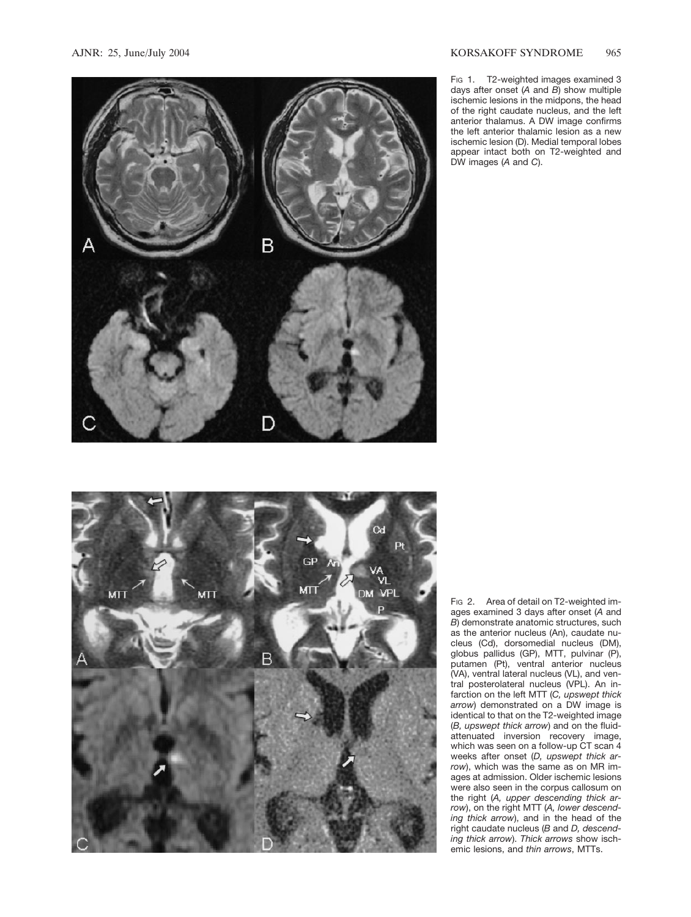



Fig 1. T2-weighted images examined 3 days after onset (*A* and *B*) show multiple ischemic lesions in the midpons, the head of the right caudate nucleus, and the left anterior thalamus. A DW image confirms the left anterior thalamic lesion as a new ischemic lesion (D). Medial temporal lobes appear intact both on T2-weighted and DW images (*A* and *C*).

FIG 2. Area of detail on T2-weighted images examined 3 days after onset (*A* and *B*) demonstrate anatomic structures, such as the anterior nucleus (An), caudate nucleus (Cd), dorsomedial nucleus (DM), globus pallidus (GP), MTT, pulvinar (P), putamen (Pt), ventral anterior nucleus (VA), ventral lateral nucleus (VL), and ventral posterolateral nucleus (VPL). An infarction on the left MTT (*C, upswept thick arrow*) demonstrated on a DW image is identical to that on the T2-weighted image (*B, upswept thick arrow*) and on the fluidattenuated inversion recovery image, which was seen on a follow-up CT scan 4 weeks after onset (*D, upswept thick arrow*), which was the same as on MR images at admission. Older ischemic lesions were also seen in the corpus callosum on the right (*A, upper descending thick arrow*), on the right MTT (*A, lower descending thick arrow*), and in the head of the right caudate nucleus (*B* and *D, descending thick arrow*). *Thick arrows* show ischemic lesions, and *thin arrows*, MTTs.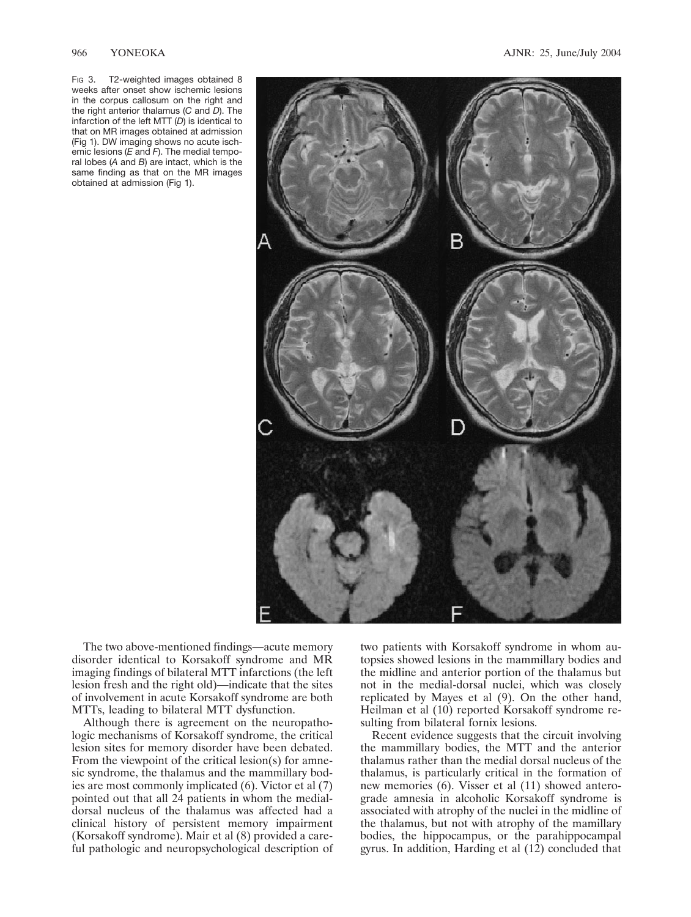Fig 3. T2-weighted images obtained 8 weeks after onset show ischemic lesions in the corpus callosum on the right and the right anterior thalamus (*C* and *D*). The infarction of the left MTT (*D*) is identical to that on MR images obtained at admission (Fig 1). DW imaging shows no acute ischemic lesions (*E* and *F*). The medial temporal lobes (*A* and *B*) are intact, which is the same finding as that on the MR images obtained at admission (Fig 1).



The two above-mentioned findings—acute memory disorder identical to Korsakoff syndrome and MR imaging findings of bilateral MTT infarctions (the left lesion fresh and the right old)—indicate that the sites of involvement in acute Korsakoff syndrome are both MTTs, leading to bilateral MTT dysfunction.

Although there is agreement on the neuropathologic mechanisms of Korsakoff syndrome, the critical lesion sites for memory disorder have been debated. From the viewpoint of the critical lesion(s) for amnesic syndrome, the thalamus and the mammillary bodies are most commonly implicated (6). Victor et al (7) pointed out that all 24 patients in whom the medialdorsal nucleus of the thalamus was affected had a clinical history of persistent memory impairment (Korsakoff syndrome). Mair et al (8) provided a careful pathologic and neuropsychological description of

two patients with Korsakoff syndrome in whom autopsies showed lesions in the mammillary bodies and the midline and anterior portion of the thalamus but not in the medial-dorsal nuclei, which was closely replicated by Mayes et al (9). On the other hand, Heilman et al (10) reported Korsakoff syndrome resulting from bilateral fornix lesions.

Recent evidence suggests that the circuit involving the mammillary bodies, the MTT and the anterior thalamus rather than the medial dorsal nucleus of the thalamus, is particularly critical in the formation of new memories (6). Visser et al (11) showed anterograde amnesia in alcoholic Korsakoff syndrome is associated with atrophy of the nuclei in the midline of the thalamus, but not with atrophy of the mamillary bodies, the hippocampus, or the parahippocampal gyrus. In addition, Harding et al (12) concluded that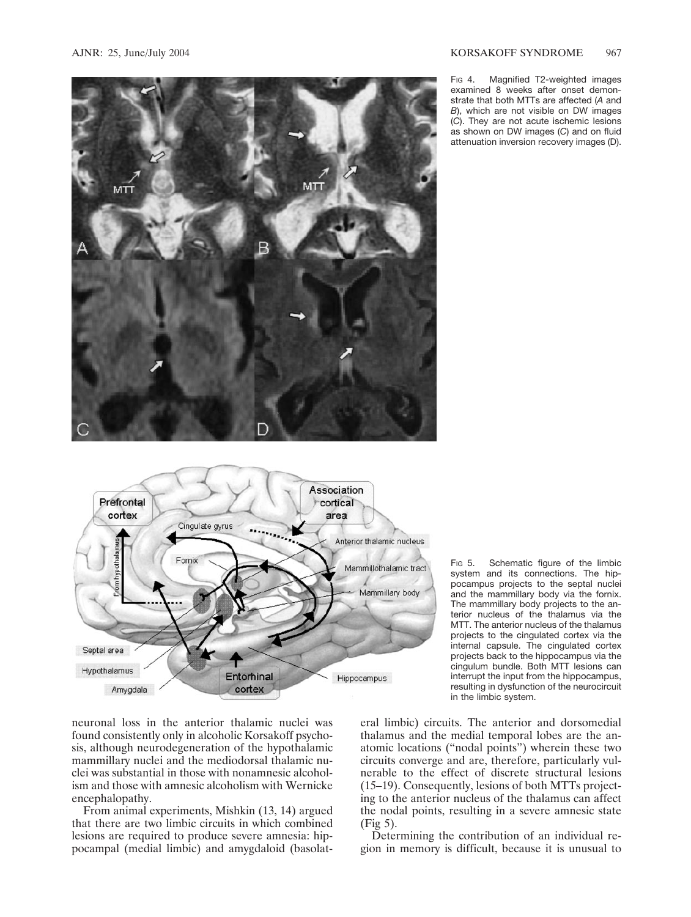

Fig 4. Magnified T2-weighted images examined 8 weeks after onset demonstrate that both MTTs are affected (*A* and *B*), which are not visible on DW images (*C*). They are not acute ischemic lesions as shown on DW images (*C*) and on fluid attenuation inversion recovery images (D).



FIG 5. Schematic figure of the limbic system and its connections. The hippocampus projects to the septal nuclei and the mammillary body via the fornix. The mammillary body projects to the anterior nucleus of the thalamus via the MTT. The anterior nucleus of the thalamus projects to the cingulated cortex via the internal capsule. The cingulated cortex projects back to the hippocampus via the cingulum bundle. Both MTT lesions can interrupt the input from the hippocampus, resulting in dysfunction of the neurocircuit in the limbic system.

neuronal loss in the anterior thalamic nuclei was found consistently only in alcoholic Korsakoff psychosis, although neurodegeneration of the hypothalamic mammillary nuclei and the mediodorsal thalamic nuclei was substantial in those with nonamnesic alcoholism and those with amnesic alcoholism with Wernicke encephalopathy.

From animal experiments, Mishkin (13, 14) argued that there are two limbic circuits in which combined lesions are required to produce severe amnesia: hippocampal (medial limbic) and amygdaloid (basolat-

eral limbic) circuits. The anterior and dorsomedial thalamus and the medial temporal lobes are the anatomic locations ("nodal points") wherein these two circuits converge and are, therefore, particularly vulnerable to the effect of discrete structural lesions (15–19). Consequently, lesions of both MTTs projecting to the anterior nucleus of the thalamus can affect the nodal points, resulting in a severe amnesic state (Fig 5).

Determining the contribution of an individual region in memory is difficult, because it is unusual to